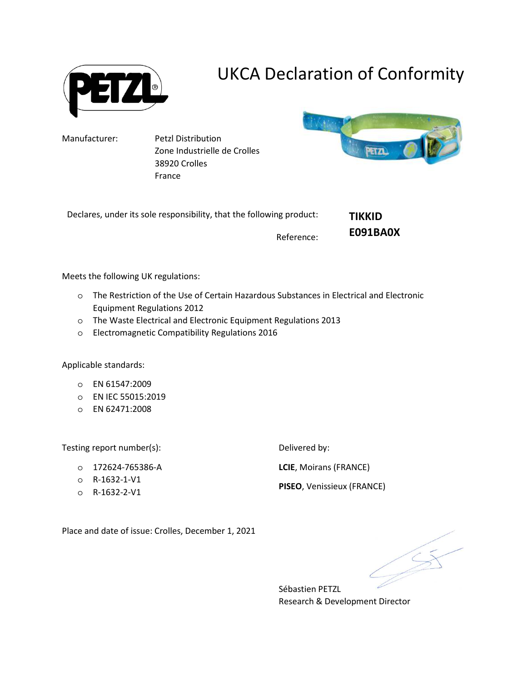

## UKCA Declaration of Conformity

Manufacturer: Petzl Distribution Zone Industrielle de Crolles 38920 Crolles France



**TIKKID** 

**E091BA0X**

Declares, under its sole responsibility, that the following product:

Reference:

Meets the following UK regulations:

- o The Restriction of the Use of Certain Hazardous Substances in Electrical and Electronic Equipment Regulations 2012
- o The Waste Electrical and Electronic Equipment Regulations 2013
- o Electromagnetic Compatibility Regulations 2016

Applicable standards:

- o EN 61547:2009
- o EN IEC 55015:2019
- o EN 62471:2008

Testing report number(s):

- o 172624-765386-A
- o R-1632-1-V1
- o R-1632-2-V1

Delivered by:

**LCIE**, Moirans (FRANCE)

**PISEO**, Venissieux (FRANCE)

Place and date of issue: Crolles, December 1, 2021

Sébastien PETZL Research & Development Director